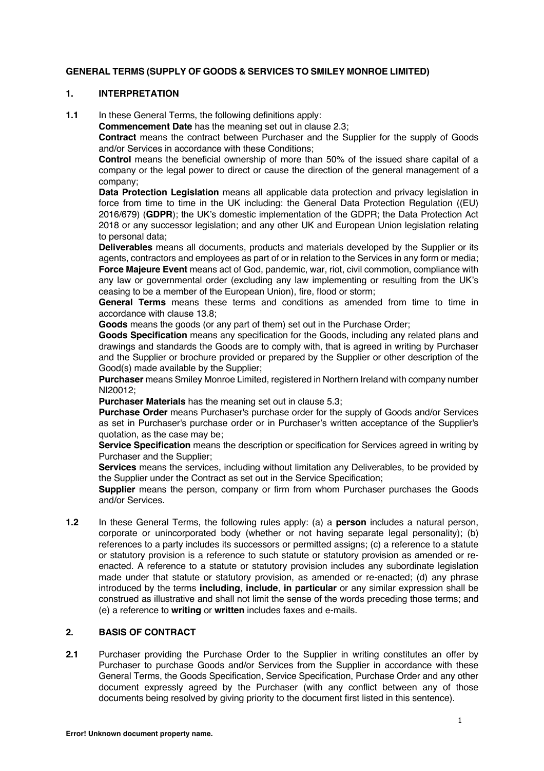# **GENERAL TERMS (SUPPLY OF GOODS & SERVICES TO SMILEY MONROE LIMITED)**

#### **1. INTERPRETATION**

**1.1** In these General Terms, the following definitions apply:

**Commencement Date** has the meaning set out in clause 2.3;

**Contract** means the contract between Purchaser and the Supplier for the supply of Goods and/or Services in accordance with these Conditions;

**Control** means the beneficial ownership of more than 50% of the issued share capital of a company or the legal power to direct or cause the direction of the general management of a company;

**Data Protection Legislation** means all applicable data protection and privacy legislation in force from time to time in the UK including: the General Data Protection Regulation ((EU) 2016/679) (**GDPR**); the UK's domestic implementation of the GDPR; the Data Protection Act 2018 or any successor legislation; and any other UK and European Union legislation relating to personal data;

**Deliverables** means all documents, products and materials developed by the Supplier or its agents, contractors and employees as part of or in relation to the Services in any form or media; **Force Majeure Event** means act of God, pandemic, war, riot, civil commotion, compliance with any law or governmental order (excluding any law implementing or resulting from the UK's ceasing to be a member of the European Union), fire, flood or storm;

**General Terms** means these terms and conditions as amended from time to time in accordance with clause 13.8;

**Goods** means the goods (or any part of them) set out in the Purchase Order;

**Goods Specification** means any specification for the Goods, including any related plans and drawings and standards the Goods are to comply with, that is agreed in writing by Purchaser and the Supplier or brochure provided or prepared by the Supplier or other description of the Good(s) made available by the Supplier;

**Purchaser** means Smiley Monroe Limited, registered in Northern Ireland with company number NI20012;

**Purchaser Materials** has the meaning set out in clause 5.3;

**Purchase Order** means Purchaser's purchase order for the supply of Goods and/or Services as set in Purchaser's purchase order or in Purchaser's written acceptance of the Supplier's quotation, as the case may be;

**Service Specification** means the description or specification for Services agreed in writing by Purchaser and the Supplier;

**Services** means the services, including without limitation any Deliverables, to be provided by the Supplier under the Contract as set out in the Service Specification;

**Supplier** means the person, company or firm from whom Purchaser purchases the Goods and/or Services.

**1.2** In these General Terms, the following rules apply: (a) a **person** includes a natural person, corporate or unincorporated body (whether or not having separate legal personality); (b) references to a party includes its successors or permitted assigns; (c) a reference to a statute or statutory provision is a reference to such statute or statutory provision as amended or reenacted. A reference to a statute or statutory provision includes any subordinate legislation made under that statute or statutory provision, as amended or re-enacted; (d) any phrase introduced by the terms **including**, **include**, **in particular** or any similar expression shall be construed as illustrative and shall not limit the sense of the words preceding those terms; and (e) a reference to **writing** or **written** includes faxes and e-mails.

# **2. BASIS OF CONTRACT**

**2.1** Purchaser providing the Purchase Order to the Supplier in writing constitutes an offer by Purchaser to purchase Goods and/or Services from the Supplier in accordance with these General Terms, the Goods Specification, Service Specification, Purchase Order and any other document expressly agreed by the Purchaser (with any conflict between any of those documents being resolved by giving priority to the document first listed in this sentence).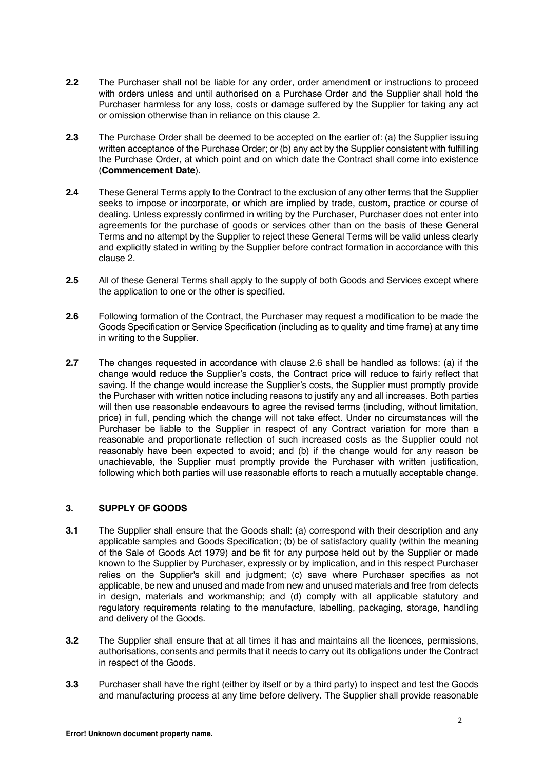- **2.2** The Purchaser shall not be liable for any order, order amendment or instructions to proceed with orders unless and until authorised on a Purchase Order and the Supplier shall hold the Purchaser harmless for any loss, costs or damage suffered by the Supplier for taking any act or omission otherwise than in reliance on this clause 2.
- **2.3** The Purchase Order shall be deemed to be accepted on the earlier of: (a) the Supplier issuing written acceptance of the Purchase Order; or (b) any act by the Supplier consistent with fulfilling the Purchase Order, at which point and on which date the Contract shall come into existence (**Commencement Date**).
- **2.4** These General Terms apply to the Contract to the exclusion of any other terms that the Supplier seeks to impose or incorporate, or which are implied by trade, custom, practice or course of dealing. Unless expressly confirmed in writing by the Purchaser, Purchaser does not enter into agreements for the purchase of goods or services other than on the basis of these General Terms and no attempt by the Supplier to reject these General Terms will be valid unless clearly and explicitly stated in writing by the Supplier before contract formation in accordance with this clause 2.
- **2.5** All of these General Terms shall apply to the supply of both Goods and Services except where the application to one or the other is specified.
- **2.6** Following formation of the Contract, the Purchaser may request a modification to be made the Goods Specification or Service Specification (including as to quality and time frame) at any time in writing to the Supplier.
- **2.7** The changes requested in accordance with clause 2.6 shall be handled as follows: (a) if the change would reduce the Supplier's costs, the Contract price will reduce to fairly reflect that saving. If the change would increase the Supplier's costs, the Supplier must promptly provide the Purchaser with written notice including reasons to justify any and all increases. Both parties will then use reasonable endeavours to agree the revised terms (including, without limitation, price) in full, pending which the change will not take effect. Under no circumstances will the Purchaser be liable to the Supplier in respect of any Contract variation for more than a reasonable and proportionate reflection of such increased costs as the Supplier could not reasonably have been expected to avoid; and (b) if the change would for any reason be unachievable, the Supplier must promptly provide the Purchaser with written justification, following which both parties will use reasonable efforts to reach a mutually acceptable change.

# **3. SUPPLY OF GOODS**

- **3.1** The Supplier shall ensure that the Goods shall: (a) correspond with their description and any applicable samples and Goods Specification; (b) be of satisfactory quality (within the meaning of the Sale of Goods Act 1979) and be fit for any purpose held out by the Supplier or made known to the Supplier by Purchaser, expressly or by implication, and in this respect Purchaser relies on the Supplier's skill and judgment; (c) save where Purchaser specifies as not applicable, be new and unused and made from new and unused materials and free from defects in design, materials and workmanship; and (d) comply with all applicable statutory and regulatory requirements relating to the manufacture, labelling, packaging, storage, handling and delivery of the Goods.
- **3.2** The Supplier shall ensure that at all times it has and maintains all the licences, permissions, authorisations, consents and permits that it needs to carry out its obligations under the Contract in respect of the Goods.
- **3.3** Purchaser shall have the right (either by itself or by a third party) to inspect and test the Goods and manufacturing process at any time before delivery. The Supplier shall provide reasonable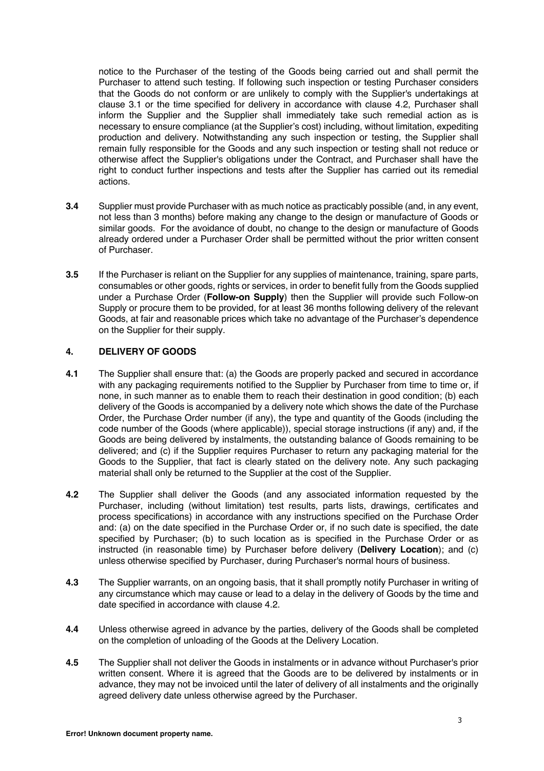notice to the Purchaser of the testing of the Goods being carried out and shall permit the Purchaser to attend such testing. If following such inspection or testing Purchaser considers that the Goods do not conform or are unlikely to comply with the Supplier's undertakings at clause 3.1 or the time specified for delivery in accordance with clause 4.2, Purchaser shall inform the Supplier and the Supplier shall immediately take such remedial action as is necessary to ensure compliance (at the Supplier's cost) including, without limitation, expediting production and delivery. Notwithstanding any such inspection or testing, the Supplier shall remain fully responsible for the Goods and any such inspection or testing shall not reduce or otherwise affect the Supplier's obligations under the Contract, and Purchaser shall have the right to conduct further inspections and tests after the Supplier has carried out its remedial actions.

- **3.4** Supplier must provide Purchaser with as much notice as practicably possible (and, in any event, not less than 3 months) before making any change to the design or manufacture of Goods or similar goods. For the avoidance of doubt, no change to the design or manufacture of Goods already ordered under a Purchaser Order shall be permitted without the prior written consent of Purchaser.
- **3.5** If the Purchaser is reliant on the Supplier for any supplies of maintenance, training, spare parts, consumables or other goods, rights or services, in order to benefit fully from the Goods supplied under a Purchase Order (**Follow-on Supply**) then the Supplier will provide such Follow-on Supply or procure them to be provided, for at least 36 months following delivery of the relevant Goods, at fair and reasonable prices which take no advantage of the Purchaser's dependence on the Supplier for their supply.

# **4. DELIVERY OF GOODS**

- **4.1** The Supplier shall ensure that: (a) the Goods are properly packed and secured in accordance with any packaging requirements notified to the Supplier by Purchaser from time to time or, if none, in such manner as to enable them to reach their destination in good condition; (b) each delivery of the Goods is accompanied by a delivery note which shows the date of the Purchase Order, the Purchase Order number (if any), the type and quantity of the Goods (including the code number of the Goods (where applicable)), special storage instructions (if any) and, if the Goods are being delivered by instalments, the outstanding balance of Goods remaining to be delivered; and (c) if the Supplier requires Purchaser to return any packaging material for the Goods to the Supplier, that fact is clearly stated on the delivery note. Any such packaging material shall only be returned to the Supplier at the cost of the Supplier.
- **4.2** The Supplier shall deliver the Goods (and any associated information requested by the Purchaser, including (without limitation) test results, parts lists, drawings, certificates and process specifications) in accordance with any instructions specified on the Purchase Order and: (a) on the date specified in the Purchase Order or, if no such date is specified, the date specified by Purchaser; (b) to such location as is specified in the Purchase Order or as instructed (in reasonable time) by Purchaser before delivery (**Delivery Location**); and (c) unless otherwise specified by Purchaser, during Purchaser's normal hours of business.
- **4.3** The Supplier warrants, on an ongoing basis, that it shall promptly notify Purchaser in writing of any circumstance which may cause or lead to a delay in the delivery of Goods by the time and date specified in accordance with clause 4.2.
- **4.4** Unless otherwise agreed in advance by the parties, delivery of the Goods shall be completed on the completion of unloading of the Goods at the Delivery Location.
- **4.5** The Supplier shall not deliver the Goods in instalments or in advance without Purchaser's prior written consent. Where it is agreed that the Goods are to be delivered by instalments or in advance, they may not be invoiced until the later of delivery of all instalments and the originally agreed delivery date unless otherwise agreed by the Purchaser.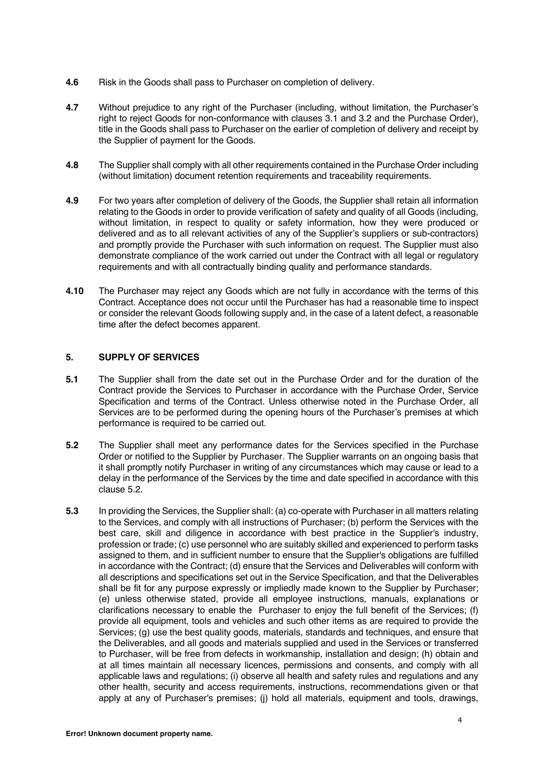- **4.6** Risk in the Goods shall pass to Purchaser on completion of delivery.
- **4.7** Without prejudice to any right of the Purchaser (including, without limitation, the Purchaser's right to reject Goods for non-conformance with clauses 3.1 and 3.2 and the Purchase Order), title in the Goods shall pass to Purchaser on the earlier of completion of delivery and receipt by the Supplier of payment for the Goods.
- **4.8** The Supplier shall comply with all other requirements contained in the Purchase Order including (without limitation) document retention requirements and traceability requirements.
- **4.9** For two years after completion of delivery of the Goods, the Supplier shall retain all information relating to the Goods in order to provide verification of safety and quality of all Goods (including, without limitation, in respect to quality or safety information, how they were produced or delivered and as to all relevant activities of any of the Supplier's suppliers or sub-contractors) and promptly provide the Purchaser with such information on request. The Supplier must also demonstrate compliance of the work carried out under the Contract with all legal or regulatory requirements and with all contractually binding quality and performance standards.
- **4.10** The Purchaser may reject any Goods which are not fully in accordance with the terms of this Contract. Acceptance does not occur until the Purchaser has had a reasonable time to inspect or consider the relevant Goods following supply and, in the case of a latent defect, a reasonable time after the defect becomes apparent.

#### **5. SUPPLY OF SERVICES**

- **5.1** The Supplier shall from the date set out in the Purchase Order and for the duration of the Contract provide the Services to Purchaser in accordance with the Purchase Order, Service Specification and terms of the Contract. Unless otherwise noted in the Purchase Order, all Services are to be performed during the opening hours of the Purchaser's premises at which performance is required to be carried out.
- **5.2** The Supplier shall meet any performance dates for the Services specified in the Purchase Order or notified to the Supplier by Purchaser. The Supplier warrants on an ongoing basis that it shall promptly notify Purchaser in writing of any circumstances which may cause or lead to a delay in the performance of the Services by the time and date specified in accordance with this clause 5.2.
- **5.3** In providing the Services, the Supplier shall: (a) co-operate with Purchaser in all matters relating to the Services, and comply with all instructions of Purchaser; (b) perform the Services with the best care, skill and diligence in accordance with best practice in the Supplier's industry, profession or trade; (c) use personnel who are suitably skilled and experienced to perform tasks assigned to them, and in sufficient number to ensure that the Supplier's obligations are fulfilled in accordance with the Contract; (d) ensure that the Services and Deliverables will conform with all descriptions and specifications set out in the Service Specification, and that the Deliverables shall be fit for any purpose expressly or impliedly made known to the Supplier by Purchaser; (e) unless otherwise stated, provide all employee instructions, manuals, explanations or clarifications necessary to enable the Purchaser to enjoy the full benefit of the Services; (f) provide all equipment, tools and vehicles and such other items as are required to provide the Services; (g) use the best quality goods, materials, standards and techniques, and ensure that the Deliverables, and all goods and materials supplied and used in the Services or transferred to Purchaser, will be free from defects in workmanship, installation and design; (h) obtain and at all times maintain all necessary licences, permissions and consents, and comply with all applicable laws and regulations; (i) observe all health and safety rules and regulations and any other health, security and access requirements, instructions, recommendations given or that apply at any of Purchaser's premises; (j) hold all materials, equipment and tools, drawings,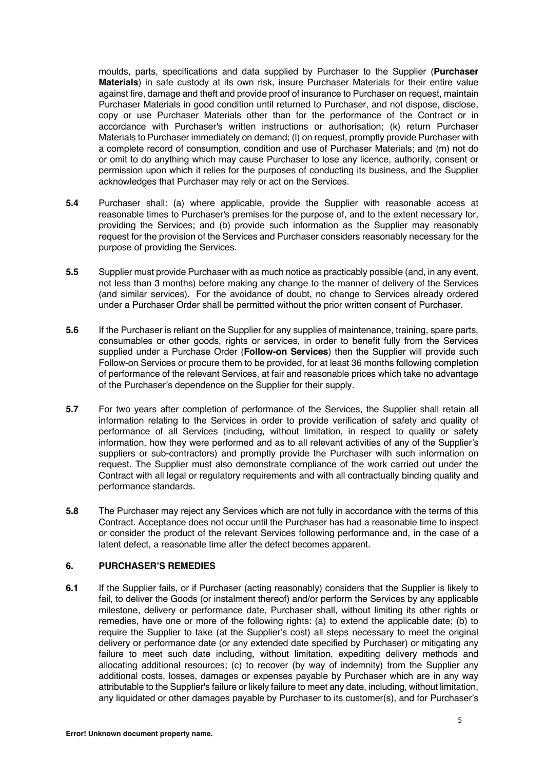moulds, parts, specifications and data supplied by Purchaser to the Supplier (**Purchaser Materials**) in safe custody at its own risk, insure Purchaser Materials for their entire value against fire, damage and theft and provide proof of insurance to Purchaser on request, maintain Purchaser Materials in good condition until returned to Purchaser, and not dispose, disclose, copy or use Purchaser Materials other than for the performance of the Contract or in accordance with Purchaser's written instructions or authorisation; (k) return Purchaser Materials to Purchaser immediately on demand; (l) on request, promptly provide Purchaser with a complete record of consumption, condition and use of Purchaser Materials; and (m) not do or omit to do anything which may cause Purchaser to lose any licence, authority, consent or permission upon which it relies for the purposes of conducting its business, and the Supplier acknowledges that Purchaser may rely or act on the Services.

- **5.4** Purchaser shall: (a) where applicable, provide the Supplier with reasonable access at reasonable times to Purchaser's premises for the purpose of, and to the extent necessary for, providing the Services; and (b) provide such information as the Supplier may reasonably request for the provision of the Services and Purchaser considers reasonably necessary for the purpose of providing the Services.
- **5.5** Supplier must provide Purchaser with as much notice as practicably possible (and, in any event, not less than 3 months) before making any change to the manner of delivery of the Services (and similar services). For the avoidance of doubt, no change to Services already ordered under a Purchaser Order shall be permitted without the prior written consent of Purchaser.
- **5.6** If the Purchaser is reliant on the Supplier for any supplies of maintenance, training, spare parts, consumables or other goods, rights or services, in order to benefit fully from the Services supplied under a Purchase Order (**Follow-on Services**) then the Supplier will provide such Follow-on Services or procure them to be provided, for at least 36 months following completion of performance of the relevant Services, at fair and reasonable prices which take no advantage of the Purchaser's dependence on the Supplier for their supply.
- **5.7** For two years after completion of performance of the Services, the Supplier shall retain all information relating to the Services in order to provide verification of safety and quality of performance of all Services (including, without limitation, in respect to quality or safety information, how they were performed and as to all relevant activities of any of the Supplier's suppliers or sub-contractors) and promptly provide the Purchaser with such information on request. The Supplier must also demonstrate compliance of the work carried out under the Contract with all legal or regulatory requirements and with all contractually binding quality and performance standards.
- **5.8** The Purchaser may reject any Services which are not fully in accordance with the terms of this Contract. Acceptance does not occur until the Purchaser has had a reasonable time to inspect or consider the product of the relevant Services following performance and, in the case of a latent defect, a reasonable time after the defect becomes apparent.

# **6. PURCHASER'S REMEDIES**

**6.1** If the Supplier fails, or if Purchaser (acting reasonably) considers that the Supplier is likely to fail, to deliver the Goods (or instalment thereof) and/or perform the Services by any applicable milestone, delivery or performance date, Purchaser shall, without limiting its other rights or remedies, have one or more of the following rights: (a) to extend the applicable date; (b) to require the Supplier to take (at the Supplier's cost) all steps necessary to meet the original delivery or performance date (or any extended date specified by Purchaser) or mitigating any failure to meet such date including, without limitation, expediting delivery methods and allocating additional resources; (c) to recover (by way of indemnity) from the Supplier any additional costs, losses, damages or expenses payable by Purchaser which are in any way attributable to the Supplier's failure or likely failure to meet any date, including, without limitation, any liquidated or other damages payable by Purchaser to its customer(s), and for Purchaser's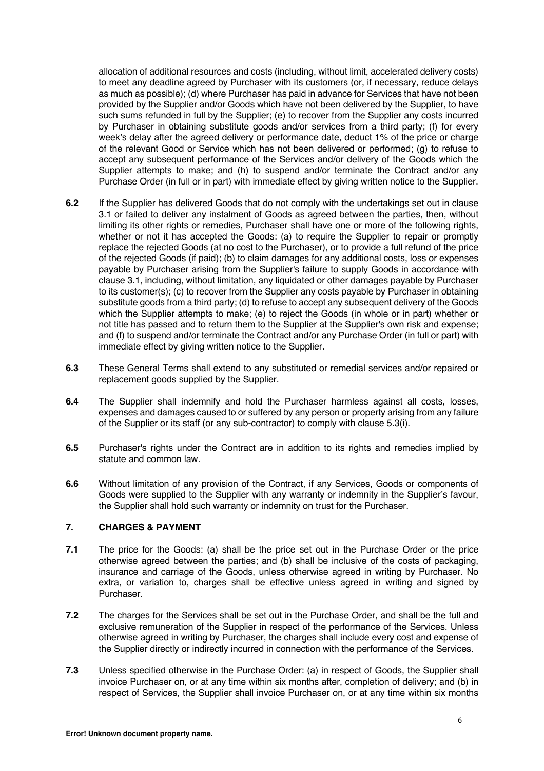allocation of additional resources and costs (including, without limit, accelerated delivery costs) to meet any deadline agreed by Purchaser with its customers (or, if necessary, reduce delays as much as possible); (d) where Purchaser has paid in advance for Services that have not been provided by the Supplier and/or Goods which have not been delivered by the Supplier, to have such sums refunded in full by the Supplier; (e) to recover from the Supplier any costs incurred by Purchaser in obtaining substitute goods and/or services from a third party; (f) for every week's delay after the agreed delivery or performance date, deduct 1% of the price or charge of the relevant Good or Service which has not been delivered or performed; (g) to refuse to accept any subsequent performance of the Services and/or delivery of the Goods which the Supplier attempts to make; and (h) to suspend and/or terminate the Contract and/or any Purchase Order (in full or in part) with immediate effect by giving written notice to the Supplier.

- **6.2** If the Supplier has delivered Goods that do not comply with the undertakings set out in clause 3.1 or failed to deliver any instalment of Goods as agreed between the parties, then, without limiting its other rights or remedies, Purchaser shall have one or more of the following rights, whether or not it has accepted the Goods: (a) to require the Supplier to repair or promptly replace the rejected Goods (at no cost to the Purchaser), or to provide a full refund of the price of the rejected Goods (if paid); (b) to claim damages for any additional costs, loss or expenses payable by Purchaser arising from the Supplier's failure to supply Goods in accordance with clause 3.1, including, without limitation, any liquidated or other damages payable by Purchaser to its customer(s); (c) to recover from the Supplier any costs payable by Purchaser in obtaining substitute goods from a third party; (d) to refuse to accept any subsequent delivery of the Goods which the Supplier attempts to make; (e) to reject the Goods (in whole or in part) whether or not title has passed and to return them to the Supplier at the Supplier's own risk and expense; and (f) to suspend and/or terminate the Contract and/or any Purchase Order (in full or part) with immediate effect by giving written notice to the Supplier.
- **6.3** These General Terms shall extend to any substituted or remedial services and/or repaired or replacement goods supplied by the Supplier.
- **6.4** The Supplier shall indemnify and hold the Purchaser harmless against all costs, losses, expenses and damages caused to or suffered by any person or property arising from any failure of the Supplier or its staff (or any sub-contractor) to comply with clause 5.3(i).
- **6.5** Purchaser's rights under the Contract are in addition to its rights and remedies implied by statute and common law.
- **6.6** Without limitation of any provision of the Contract, if any Services, Goods or components of Goods were supplied to the Supplier with any warranty or indemnity in the Supplier's favour, the Supplier shall hold such warranty or indemnity on trust for the Purchaser.

# **7. CHARGES & PAYMENT**

- **7.1** The price for the Goods: (a) shall be the price set out in the Purchase Order or the price otherwise agreed between the parties; and (b) shall be inclusive of the costs of packaging, insurance and carriage of the Goods, unless otherwise agreed in writing by Purchaser. No extra, or variation to, charges shall be effective unless agreed in writing and signed by Purchaser.
- **7.2** The charges for the Services shall be set out in the Purchase Order, and shall be the full and exclusive remuneration of the Supplier in respect of the performance of the Services. Unless otherwise agreed in writing by Purchaser, the charges shall include every cost and expense of the Supplier directly or indirectly incurred in connection with the performance of the Services.
- **7.3** Unless specified otherwise in the Purchase Order: (a) in respect of Goods, the Supplier shall invoice Purchaser on, or at any time within six months after, completion of delivery; and (b) in respect of Services, the Supplier shall invoice Purchaser on, or at any time within six months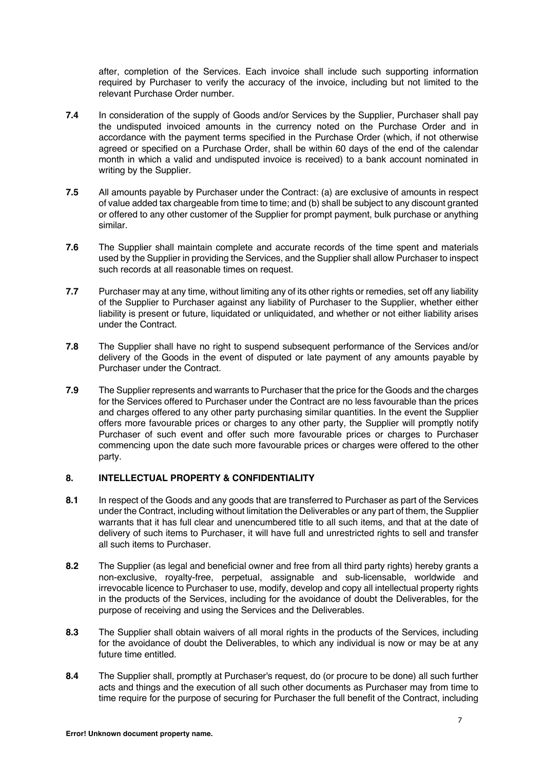after, completion of the Services. Each invoice shall include such supporting information required by Purchaser to verify the accuracy of the invoice, including but not limited to the relevant Purchase Order number.

- **7.4** In consideration of the supply of Goods and/or Services by the Supplier, Purchaser shall pay the undisputed invoiced amounts in the currency noted on the Purchase Order and in accordance with the payment terms specified in the Purchase Order (which, if not otherwise agreed or specified on a Purchase Order, shall be within 60 days of the end of the calendar month in which a valid and undisputed invoice is received) to a bank account nominated in writing by the Supplier.
- **7.5** All amounts payable by Purchaser under the Contract: (a) are exclusive of amounts in respect of value added tax chargeable from time to time; and (b) shall be subject to any discount granted or offered to any other customer of the Supplier for prompt payment, bulk purchase or anything similar.
- **7.6** The Supplier shall maintain complete and accurate records of the time spent and materials used by the Supplier in providing the Services, and the Supplier shall allow Purchaser to inspect such records at all reasonable times on request.
- **7.7** Purchaser may at any time, without limiting any of its other rights or remedies, set off any liability of the Supplier to Purchaser against any liability of Purchaser to the Supplier, whether either liability is present or future, liquidated or unliquidated, and whether or not either liability arises under the Contract.
- **7.8** The Supplier shall have no right to suspend subsequent performance of the Services and/or delivery of the Goods in the event of disputed or late payment of any amounts payable by Purchaser under the Contract.
- **7.9** The Supplier represents and warrants to Purchaser that the price for the Goods and the charges for the Services offered to Purchaser under the Contract are no less favourable than the prices and charges offered to any other party purchasing similar quantities. In the event the Supplier offers more favourable prices or charges to any other party, the Supplier will promptly notify Purchaser of such event and offer such more favourable prices or charges to Purchaser commencing upon the date such more favourable prices or charges were offered to the other party.

# **8. INTELLECTUAL PROPERTY & CONFIDENTIALITY**

- **8.1** In respect of the Goods and any goods that are transferred to Purchaser as part of the Services under the Contract, including without limitation the Deliverables or any part of them, the Supplier warrants that it has full clear and unencumbered title to all such items, and that at the date of delivery of such items to Purchaser, it will have full and unrestricted rights to sell and transfer all such items to Purchaser.
- **8.2** The Supplier (as legal and beneficial owner and free from all third party rights) hereby grants a non-exclusive, royalty-free, perpetual, assignable and sub-licensable, worldwide and irrevocable licence to Purchaser to use, modify, develop and copy all intellectual property rights in the products of the Services, including for the avoidance of doubt the Deliverables, for the purpose of receiving and using the Services and the Deliverables.
- **8.3** The Supplier shall obtain waivers of all moral rights in the products of the Services, including for the avoidance of doubt the Deliverables, to which any individual is now or may be at any future time entitled.
- **8.4** The Supplier shall, promptly at Purchaser's request, do (or procure to be done) all such further acts and things and the execution of all such other documents as Purchaser may from time to time require for the purpose of securing for Purchaser the full benefit of the Contract, including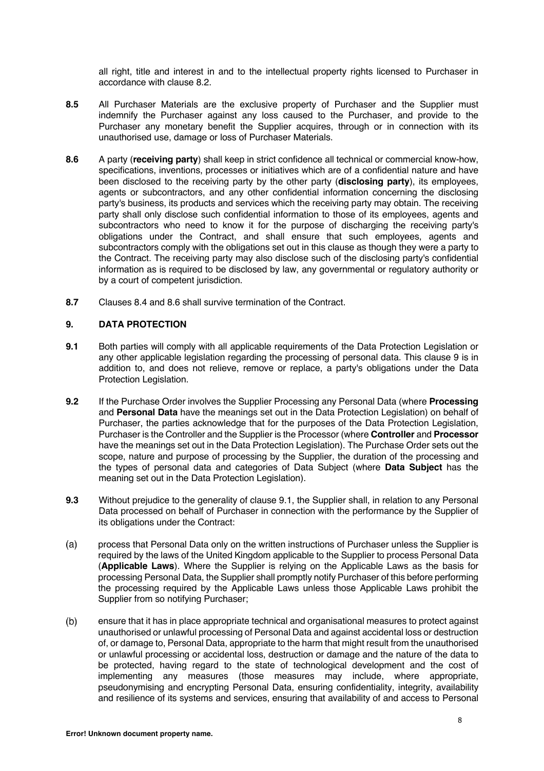all right, title and interest in and to the intellectual property rights licensed to Purchaser in accordance with clause 8.2.

- **8.5** All Purchaser Materials are the exclusive property of Purchaser and the Supplier must indemnify the Purchaser against any loss caused to the Purchaser, and provide to the Purchaser any monetary benefit the Supplier acquires, through or in connection with its unauthorised use, damage or loss of Purchaser Materials.
- **8.6** A party (**receiving party**) shall keep in strict confidence all technical or commercial know-how, specifications, inventions, processes or initiatives which are of a confidential nature and have been disclosed to the receiving party by the other party (**disclosing party**), its employees, agents or subcontractors, and any other confidential information concerning the disclosing party's business, its products and services which the receiving party may obtain. The receiving party shall only disclose such confidential information to those of its employees, agents and subcontractors who need to know it for the purpose of discharging the receiving party's obligations under the Contract, and shall ensure that such employees, agents and subcontractors comply with the obligations set out in this clause as though they were a party to the Contract. The receiving party may also disclose such of the disclosing party's confidential information as is required to be disclosed by law, any governmental or regulatory authority or by a court of competent jurisdiction.
- **8.7** Clauses 8.4 and 8.6 shall survive termination of the Contract.

# **9. DATA PROTECTION**

- **9.1** Both parties will comply with all applicable requirements of the Data Protection Legislation or any other applicable legislation regarding the processing of personal data. This clause 9 is in addition to, and does not relieve, remove or replace, a party's obligations under the Data Protection Legislation.
- **9.2** If the Purchase Order involves the Supplier Processing any Personal Data (where **Processing** and **Personal Data** have the meanings set out in the Data Protection Legislation) on behalf of Purchaser, the parties acknowledge that for the purposes of the Data Protection Legislation, Purchaser is the Controller and the Supplier is the Processor (where **Controller** and **Processor** have the meanings set out in the Data Protection Legislation). The Purchase Order sets out the scope, nature and purpose of processing by the Supplier, the duration of the processing and the types of personal data and categories of Data Subject (where **Data Subject** has the meaning set out in the Data Protection Legislation).
- **9.3** Without prejudice to the generality of clause 9.1, the Supplier shall, in relation to any Personal Data processed on behalf of Purchaser in connection with the performance by the Supplier of its obligations under the Contract:
- $(a)$ process that Personal Data only on the written instructions of Purchaser unless the Supplier is required by the laws of the United Kingdom applicable to the Supplier to process Personal Data (**Applicable Laws**). Where the Supplier is relying on the Applicable Laws as the basis for processing Personal Data, the Supplier shall promptly notify Purchaser of this before performing the processing required by the Applicable Laws unless those Applicable Laws prohibit the Supplier from so notifying Purchaser:
- $(b)$ ensure that it has in place appropriate technical and organisational measures to protect against unauthorised or unlawful processing of Personal Data and against accidental loss or destruction of, or damage to, Personal Data, appropriate to the harm that might result from the unauthorised or unlawful processing or accidental loss, destruction or damage and the nature of the data to be protected, having regard to the state of technological development and the cost of implementing any measures (those measures may include, where appropriate, pseudonymising and encrypting Personal Data, ensuring confidentiality, integrity, availability and resilience of its systems and services, ensuring that availability of and access to Personal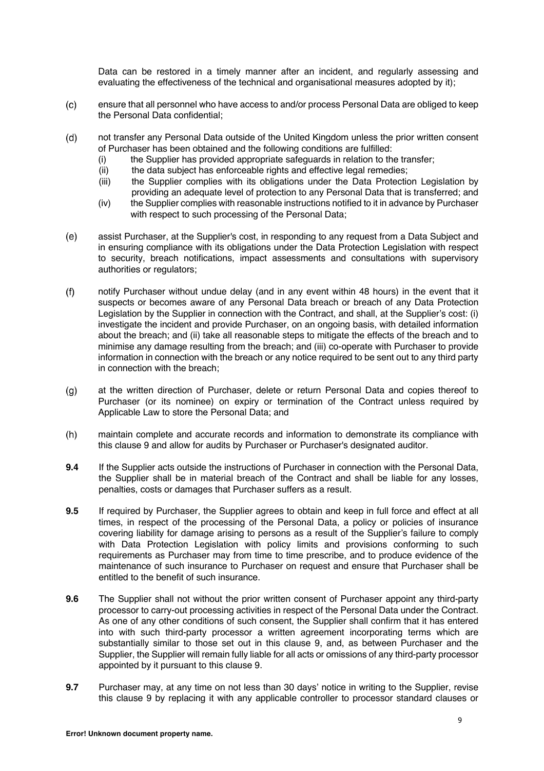Data can be restored in a timely manner after an incident, and regularly assessing and evaluating the effectiveness of the technical and organisational measures adopted by it);

- ensure that all personnel who have access to and/or process Personal Data are obliged to keep  $(c)$ the Personal Data confidential;
- not transfer any Personal Data outside of the United Kingdom unless the prior written consent  $(d)$ of Purchaser has been obtained and the following conditions are fulfilled:
	- (i) the Supplier has provided appropriate safeguards in relation to the transfer;
	- (ii) the data subject has enforceable rights and effective legal remedies;
	- (iii) the Supplier complies with its obligations under the Data Protection Legislation by providing an adequate level of protection to any Personal Data that is transferred; and
	- (iv) the Supplier complies with reasonable instructions notified to it in advance by Purchaser with respect to such processing of the Personal Data;
- $(e)$ assist Purchaser, at the Supplier's cost, in responding to any request from a Data Subject and in ensuring compliance with its obligations under the Data Protection Legislation with respect to security, breach notifications, impact assessments and consultations with supervisory authorities or regulators;
- $(f)$ notify Purchaser without undue delay (and in any event within 48 hours) in the event that it suspects or becomes aware of any Personal Data breach or breach of any Data Protection Legislation by the Supplier in connection with the Contract, and shall, at the Supplier's cost: (i) investigate the incident and provide Purchaser, on an ongoing basis, with detailed information about the breach; and (ii) take all reasonable steps to mitigate the effects of the breach and to minimise any damage resulting from the breach; and (iii) co-operate with Purchaser to provide information in connection with the breach or any notice required to be sent out to any third party in connection with the breach;
- $(g)$ at the written direction of Purchaser, delete or return Personal Data and copies thereof to Purchaser (or its nominee) on expiry or termination of the Contract unless required by Applicable Law to store the Personal Data; and
- $(h)$ maintain complete and accurate records and information to demonstrate its compliance with this clause 9 and allow for audits by Purchaser or Purchaser's designated auditor.
- **9.4** If the Supplier acts outside the instructions of Purchaser in connection with the Personal Data, the Supplier shall be in material breach of the Contract and shall be liable for any losses, penalties, costs or damages that Purchaser suffers as a result.
- **9.5** If required by Purchaser, the Supplier agrees to obtain and keep in full force and effect at all times, in respect of the processing of the Personal Data, a policy or policies of insurance covering liability for damage arising to persons as a result of the Supplier's failure to comply with Data Protection Legislation with policy limits and provisions conforming to such requirements as Purchaser may from time to time prescribe, and to produce evidence of the maintenance of such insurance to Purchaser on request and ensure that Purchaser shall be entitled to the benefit of such insurance.
- **9.6** The Supplier shall not without the prior written consent of Purchaser appoint any third-party processor to carry-out processing activities in respect of the Personal Data under the Contract. As one of any other conditions of such consent, the Supplier shall confirm that it has entered into with such third-party processor a written agreement incorporating terms which are substantially similar to those set out in this clause 9, and, as between Purchaser and the Supplier, the Supplier will remain fully liable for all acts or omissions of any third-party processor appointed by it pursuant to this clause 9.
- **9.7** Purchaser may, at any time on not less than 30 days' notice in writing to the Supplier, revise this clause 9 by replacing it with any applicable controller to processor standard clauses or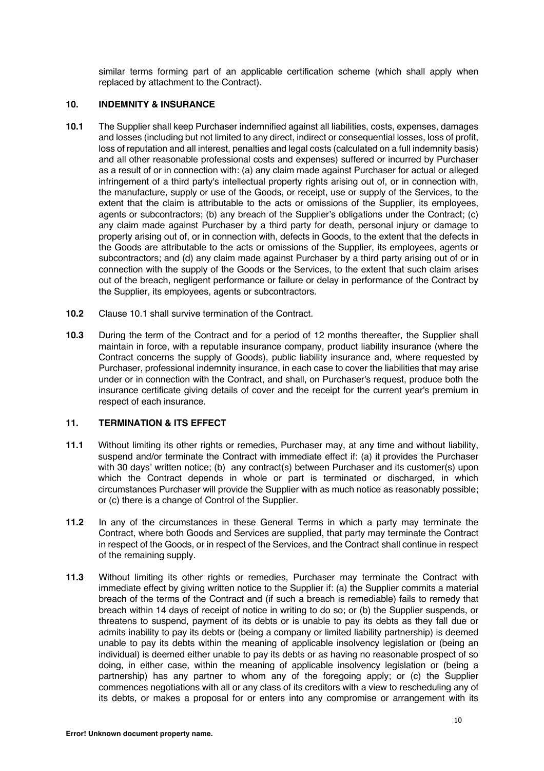similar terms forming part of an applicable certification scheme (which shall apply when replaced by attachment to the Contract).

#### **10. INDEMNITY & INSURANCE**

- **10.1** The Supplier shall keep Purchaser indemnified against all liabilities, costs, expenses, damages and losses (including but not limited to any direct, indirect or consequential losses, loss of profit, loss of reputation and all interest, penalties and legal costs (calculated on a full indemnity basis) and all other reasonable professional costs and expenses) suffered or incurred by Purchaser as a result of or in connection with: (a) any claim made against Purchaser for actual or alleged infringement of a third party's intellectual property rights arising out of, or in connection with, the manufacture, supply or use of the Goods, or receipt, use or supply of the Services, to the extent that the claim is attributable to the acts or omissions of the Supplier, its employees, agents or subcontractors; (b) any breach of the Supplier's obligations under the Contract; (c) any claim made against Purchaser by a third party for death, personal injury or damage to property arising out of, or in connection with, defects in Goods, to the extent that the defects in the Goods are attributable to the acts or omissions of the Supplier, its employees, agents or subcontractors; and (d) any claim made against Purchaser by a third party arising out of or in connection with the supply of the Goods or the Services, to the extent that such claim arises out of the breach, negligent performance or failure or delay in performance of the Contract by the Supplier, its employees, agents or subcontractors.
- **10.2** Clause 10.1 shall survive termination of the Contract.
- **10.3** During the term of the Contract and for a period of 12 months thereafter, the Supplier shall maintain in force, with a reputable insurance company, product liability insurance (where the Contract concerns the supply of Goods), public liability insurance and, where requested by Purchaser, professional indemnity insurance, in each case to cover the liabilities that may arise under or in connection with the Contract, and shall, on Purchaser's request, produce both the insurance certificate giving details of cover and the receipt for the current year's premium in respect of each insurance.

# **11. TERMINATION & ITS EFFECT**

- **11.1** Without limiting its other rights or remedies, Purchaser may, at any time and without liability, suspend and/or terminate the Contract with immediate effect if: (a) it provides the Purchaser with 30 days' written notice; (b) any contract(s) between Purchaser and its customer(s) upon which the Contract depends in whole or part is terminated or discharged, in which circumstances Purchaser will provide the Supplier with as much notice as reasonably possible; or (c) there is a change of Control of the Supplier.
- **11.2** In any of the circumstances in these General Terms in which a party may terminate the Contract, where both Goods and Services are supplied, that party may terminate the Contract in respect of the Goods, or in respect of the Services, and the Contract shall continue in respect of the remaining supply.
- **11.3** Without limiting its other rights or remedies, Purchaser may terminate the Contract with immediate effect by giving written notice to the Supplier if: (a) the Supplier commits a material breach of the terms of the Contract and (if such a breach is remediable) fails to remedy that breach within 14 days of receipt of notice in writing to do so; or (b) the Supplier suspends, or threatens to suspend, payment of its debts or is unable to pay its debts as they fall due or admits inability to pay its debts or (being a company or limited liability partnership) is deemed unable to pay its debts within the meaning of applicable insolvency legislation or (being an individual) is deemed either unable to pay its debts or as having no reasonable prospect of so doing, in either case, within the meaning of applicable insolvency legislation or (being a partnership) has any partner to whom any of the foregoing apply; or (c) the Supplier commences negotiations with all or any class of its creditors with a view to rescheduling any of its debts, or makes a proposal for or enters into any compromise or arrangement with its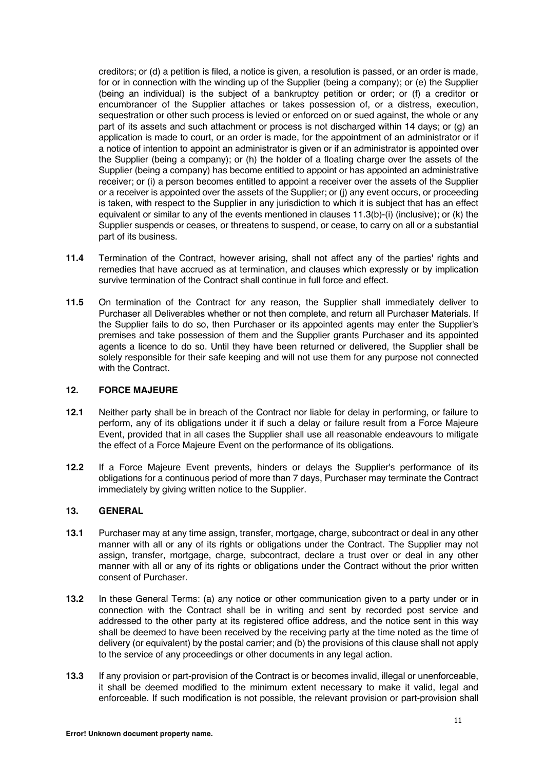creditors; or (d) a petition is filed, a notice is given, a resolution is passed, or an order is made, for or in connection with the winding up of the Supplier (being a company); or (e) the Supplier (being an individual) is the subject of a bankruptcy petition or order; or (f) a creditor or encumbrancer of the Supplier attaches or takes possession of, or a distress, execution, sequestration or other such process is levied or enforced on or sued against, the whole or any part of its assets and such attachment or process is not discharged within 14 days; or (g) an application is made to court, or an order is made, for the appointment of an administrator or if a notice of intention to appoint an administrator is given or if an administrator is appointed over the Supplier (being a company); or (h) the holder of a floating charge over the assets of the Supplier (being a company) has become entitled to appoint or has appointed an administrative receiver; or (i) a person becomes entitled to appoint a receiver over the assets of the Supplier or a receiver is appointed over the assets of the Supplier; or (j) any event occurs, or proceeding is taken, with respect to the Supplier in any jurisdiction to which it is subject that has an effect equivalent or similar to any of the events mentioned in clauses 11.3(b)-(i) (inclusive); or (k) the Supplier suspends or ceases, or threatens to suspend, or cease, to carry on all or a substantial part of its business.

- **11.4** Termination of the Contract, however arising, shall not affect any of the parties' rights and remedies that have accrued as at termination, and clauses which expressly or by implication survive termination of the Contract shall continue in full force and effect.
- **11.5** On termination of the Contract for any reason, the Supplier shall immediately deliver to Purchaser all Deliverables whether or not then complete, and return all Purchaser Materials. If the Supplier fails to do so, then Purchaser or its appointed agents may enter the Supplier's premises and take possession of them and the Supplier grants Purchaser and its appointed agents a licence to do so. Until they have been returned or delivered, the Supplier shall be solely responsible for their safe keeping and will not use them for any purpose not connected with the Contract.

# **12. FORCE MAJEURE**

- **12.1** Neither party shall be in breach of the Contract nor liable for delay in performing, or failure to perform, any of its obligations under it if such a delay or failure result from a Force Majeure Event, provided that in all cases the Supplier shall use all reasonable endeavours to mitigate the effect of a Force Majeure Event on the performance of its obligations.
- **12.2** If a Force Majeure Event prevents, hinders or delays the Supplier's performance of its obligations for a continuous period of more than 7 days, Purchaser may terminate the Contract immediately by giving written notice to the Supplier.

# **13. GENERAL**

- **13.1** Purchaser may at any time assign, transfer, mortgage, charge, subcontract or deal in any other manner with all or any of its rights or obligations under the Contract. The Supplier may not assign, transfer, mortgage, charge, subcontract, declare a trust over or deal in any other manner with all or any of its rights or obligations under the Contract without the prior written consent of Purchaser.
- **13.2** In these General Terms: (a) any notice or other communication given to a party under or in connection with the Contract shall be in writing and sent by recorded post service and addressed to the other party at its registered office address, and the notice sent in this way shall be deemed to have been received by the receiving party at the time noted as the time of delivery (or equivalent) by the postal carrier; and (b) the provisions of this clause shall not apply to the service of any proceedings or other documents in any legal action.
- **13.3** If any provision or part-provision of the Contract is or becomes invalid, illegal or unenforceable, it shall be deemed modified to the minimum extent necessary to make it valid, legal and enforceable. If such modification is not possible, the relevant provision or part-provision shall